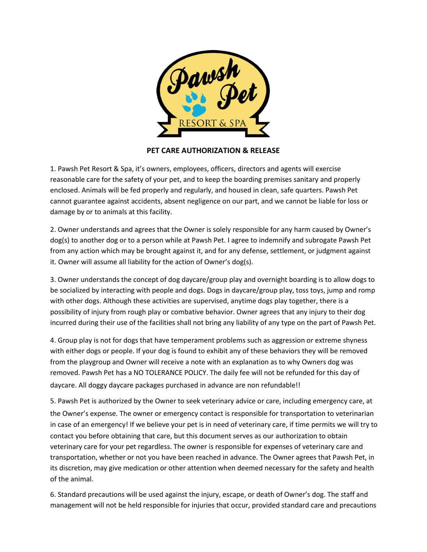

**PET CARE AUTHORIZATION & RELEASE** 

1. Pawsh Pet Resort & Spa, it's owners, employees, officers, directors and agents will exercise reasonable care for the safety of your pet, and to keep the boarding premises sanitary and properly enclosed. Animals will be fed properly and regularly, and housed in clean, safe quarters. Pawsh Pet cannot guarantee against accidents, absent negligence on our part, and we cannot be liable for loss or damage by or to animals at this facility.

2. Owner understands and agrees that the Owner is solely responsible for any harm caused by Owner's dog(s) to another dog or to a person while at Pawsh Pet. I agree to indemnify and subrogate Pawsh Pet from any action which may be brought against it, and for any defense, settlement, or judgment against it. Owner will assume all liability for the action of Owner's dog(s).

3. Owner understands the concept of dog daycare/group play and overnight boarding is to allow dogs to be socialized by interacting with people and dogs. Dogs in daycare/group play, toss toys, jump and romp with other dogs. Although these activities are supervised, anytime dogs play together, there is a possibility of injury from rough play or combative behavior. Owner agrees that any injury to their dog incurred during their use of the facilities shall not bring any liability of any type on the part of Pawsh Pet.

4. Group play is not for dogs that have temperament problems such as aggression or extreme shyness with either dogs or people. If your dog is found to exhibit any of these behaviors they will be removed from the playgroup and Owner will receive a note with an explanation as to why Owners dog was removed. Pawsh Pet has a NO TOLERANCE POLICY. The daily fee will not be refunded for this day of daycare. All doggy daycare packages purchased in advance are non refundable!!

5. Pawsh Pet is authorized by the Owner to seek veterinary advice or care, including emergency care, at the Owner's expense. The owner or emergency contact is responsible for transportation to veterinarian in case of an emergency! If we believe your pet is in need of veterinary care, if time permits we will try to contact you before obtaining that care, but this document serves as our authorization to obtain veterinary care for your pet regardless. The owner is responsible for expenses of veterinary care and transportation, whether or not you have been reached in advance. The Owner agrees that Pawsh Pet, in its discretion, may give medication or other attention when deemed necessary for the safety and health of the animal.

 6. Standard precautions will be used against the injury, escape, or death of Owner's dog. The staff and management will not be held responsible for injuries that occur, provided standard care and precautions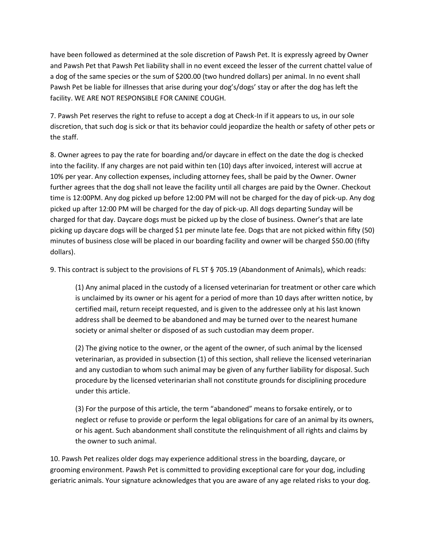have been followed as determined at the sole discretion of Pawsh Pet. It is expressly agreed by Owner and Pawsh Pet that Pawsh Pet liability shall in no event exceed the lesser of the current chattel value of a dog of the same species or the sum of \$200.00 (two hundred dollars) per animal. In no event shall Pawsh Pet be liable for illnesses that arise during your dog's/dogs' stay or after the dog has left the facility. WE ARE NOT RESPONSIBLE FOR CANINE COUGH.

7. Pawsh Pet reserves the right to refuse to accept a dog at Check-In if it appears to us, in our sole discretion, that such dog is sick or that its behavior could jeopardize the health or safety of other pets or the staff.

8. Owner agrees to pay the rate for boarding and/or daycare in effect on the date the dog is checked into the facility. If any charges are not paid within ten (10) days after invoiced, interest will accrue at 10% per year. Any collection expenses, including attorney fees, shall be paid by the Owner. Owner further agrees that the dog shall not leave the facility until all charges are paid by the Owner. Checkout time is 12:00PM. Any dog picked up before 12:00 PM will not be charged for the day of pick-up. Any dog picked up after 12:00 PM will be charged for the day of pick-up. All dogs departing Sunday will be charged for that day. Daycare dogs must be picked up by the close of business. Owner's that are late picking up daycare dogs will be charged \$1 per minute late fee. Dogs that are not picked within fifty (50) minutes of business close will be placed in our boarding facility and owner will be charged \$50.00 (fifty dollars).

9. This contract is subject to the provisions of FL ST § 705.19 (Abandonment of Animals), which reads:

(1) Any animal placed in the custody of a licensed veterinarian for treatment or other care which is unclaimed by its owner or his agent for a period of more than 10 days after written notice, by certified mail, return receipt requested, and is given to the addressee only at his last known address shall be deemed to be abandoned and may be turned over to the nearest humane society or animal shelter or disposed of as such custodian may deem proper.

(2) The giving notice to the owner, or the agent of the owner, of such animal by the licensed veterinarian, as provided in subsection (1) of this section, shall relieve the licensed veterinarian and any custodian to whom such animal may be given of any further liability for disposal. Such procedure by the licensed veterinarian shall not constitute grounds for disciplining procedure under this article.

(3) For the purpose of this article, the term "abandoned" means to forsake entirely, or to neglect or refuse to provide or perform the legal obligations for care of an animal by its owners, or his agent. Such abandonment shall constitute the relinquishment of all rights and claims by the owner to such animal.

10. Pawsh Pet realizes older dogs may experience additional stress in the boarding, daycare, or grooming environment. Pawsh Pet is committed to providing exceptional care for your dog, including geriatric animals. Your signature acknowledges that you are aware of any age related risks to your dog.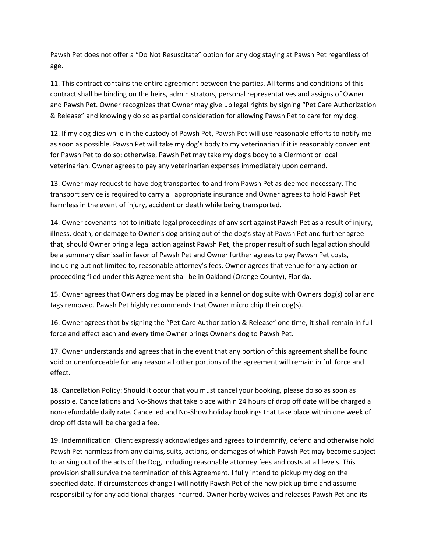Pawsh Pet does not offer a "Do Not Resuscitate" option for any dog staying at Pawsh Pet regardless of age.

11. This contract contains the entire agreement between the parties. All terms and conditions of this contract shall be binding on the heirs, administrators, personal representatives and assigns of Owner and Pawsh Pet. Owner recognizes that Owner may give up legal rights by signing "Pet Care Authorization & Release" and knowingly do so as partial consideration for allowing Pawsh Pet to care for my dog.

12. If my dog dies while in the custody of Pawsh Pet, Pawsh Pet will use reasonable efforts to notify me as soon as possible. Pawsh Pet will take my dog's body to my veterinarian if it is reasonably convenient for Pawsh Pet to do so; otherwise, Pawsh Pet may take my dog's body to a Clermont or local veterinarian. Owner agrees to pay any veterinarian expenses immediately upon demand.

13. Owner may request to have dog transported to and from Pawsh Pet as deemed necessary. The transport service is required to carry all appropriate insurance and Owner agrees to hold Pawsh Pet harmless in the event of injury, accident or death while being transported.

14. Owner covenants not to initiate legal proceedings of any sort against Pawsh Pet as a result of injury, illness, death, or damage to Owner's dog arising out of the dog's stay at Pawsh Pet and further agree that, should Owner bring a legal action against Pawsh Pet, the proper result of such legal action should be a summary dismissal in favor of Pawsh Pet and Owner further agrees to pay Pawsh Pet costs, including but not limited to, reasonable attorney's fees. Owner agrees that venue for any action or proceeding filed under this Agreement shall be in Oakland (Orange County), Florida.

15. Owner agrees that Owners dog may be placed in a kennel or dog suite with Owners dog(s) collar and tags removed. Pawsh Pet highly recommends that Owner micro chip their dog(s).

16. Owner agrees that by signing the "Pet Care Authorization & Release" one time, it shall remain in full force and effect each and every time Owner brings Owner's dog to Pawsh Pet.

17. Owner understands and agrees that in the event that any portion of this agreement shall be found void or unenforceable for any reason all other portions of the agreement will remain in full force and effect.

18. Cancellation Policy: Should it occur that you must cancel your booking, please do so as soon as possible. Cancellations and No-Shows that take place within 24 hours of drop off date will be charged a non-refundable daily rate. Cancelled and No-Show holiday bookings that take place within one week of drop off date will be charged a fee.

19. Indemnification: Client expressly acknowledges and agrees to indemnify, defend and otherwise hold Pawsh Pet harmless from any claims, suits, actions, or damages of which Pawsh Pet may become subject to arising out of the acts of the Dog, including reasonable attorney fees and costs at all levels. This provision shall survive the termination of this Agreement. I fully intend to pickup my dog on the specified date. If circumstances change I will notify Pawsh Pet of the new pick up time and assume responsibility for any additional charges incurred. Owner herby waives and releases Pawsh Pet and its